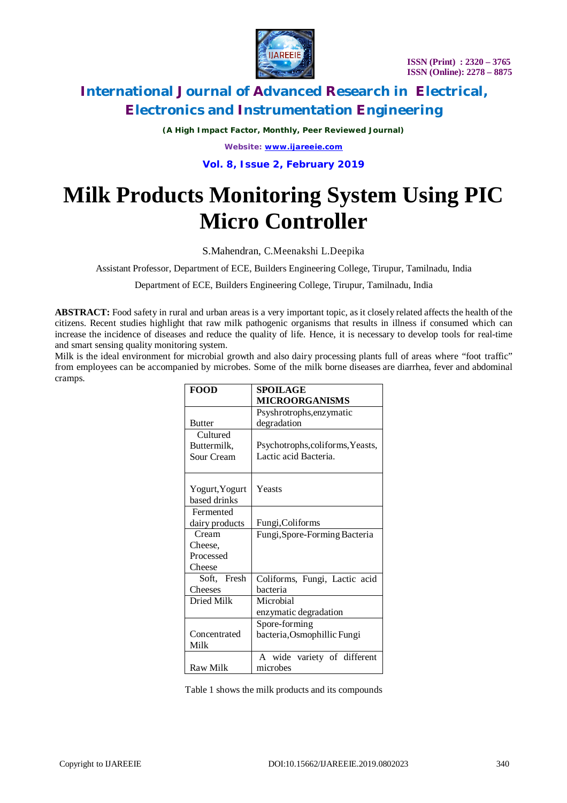

*(A High Impact Factor, Monthly, Peer Reviewed Journal)*

*Website: [www.ijareeie.com](http://www.ijareeie.com)*

**Vol. 8, Issue 2, February 2019**

# **Milk Products Monitoring System Using PIC Micro Controller**

S.Mahendran, C.Meenakshi L.Deepika

Assistant Professor, Department of ECE, Builders Engineering College, Tirupur, Tamilnadu, India

Department of ECE, Builders Engineering College, Tirupur, Tamilnadu, India

**ABSTRACT:** Food safety in rural and urban areas is a very important topic, as it closely related affects the health of the citizens. Recent studies highlight that raw milk pathogenic organisms that results in illness if consumed which can increase the incidence of diseases and reduce the quality of life. Hence, it is necessary to develop tools for real-time and smart sensing quality monitoring system.

Milk is the ideal environment for microbial growth and also dairy processing plants full of areas where "foot traffic" from employees can be accompanied by microbes. Some of the milk borne diseases are diarrhea, fever and abdominal cramps.

| <b>FOOD</b>    | SPOILAGE                         |
|----------------|----------------------------------|
|                | <b>MICROORGANISMS</b>            |
|                | Psyshrotrophs, enzymatic         |
| <b>Butter</b>  | degradation                      |
| Cultured       |                                  |
| Buttermilk,    | Psychotrophs, coliforms, Yeasts, |
| Sour Cream     | Lactic acid Bacteria.            |
|                |                                  |
|                |                                  |
| Yogurt, Yogurt | Yeasts                           |
| based drinks   |                                  |
| Fermented      |                                  |
| dairy products | Fungi, Coliforms                 |
| Cream          | Fungi, Spore-Forming Bacteria    |
| Cheese.        |                                  |
| Processed      |                                  |
| Cheese         |                                  |
| Soft. Fresh    | Coliforms, Fungi, Lactic acid    |
| <b>Cheeses</b> | bacteria                         |
| Dried Milk     | Microbial                        |
|                | enzymatic degradation            |
|                | Spore-forming                    |
| Concentrated   | bacteria, Osmophillic Fungi      |
| Milk           |                                  |
|                | A wide variety of different      |
| Raw Milk       | microbes                         |

Table 1 shows the milk products and its compounds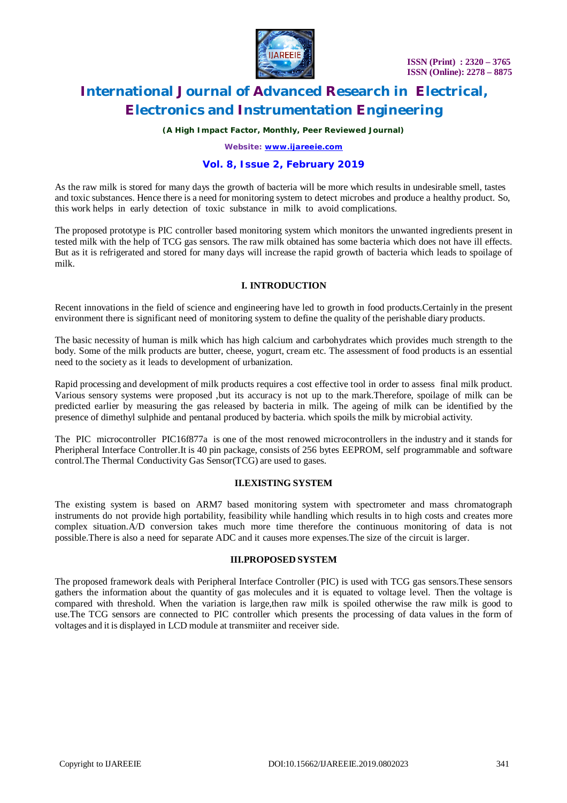

*(A High Impact Factor, Monthly, Peer Reviewed Journal)*

*Website: [www.ijareeie.com](http://www.ijareeie.com)*

# **Vol. 8, Issue 2, February 2019**

As the raw milk is stored for many days the growth of bacteria will be more which results in undesirable smell, tastes and toxic substances. Hence there is a need for monitoring system to detect microbes and produce a healthy product. So, this work helps in early detection of toxic substance in milk to avoid complications.

The proposed prototype is PIC controller based monitoring system which monitors the unwanted ingredients present in tested milk with the help of TCG gas sensors. The raw milk obtained has some bacteria which does not have ill effects. But as it is refrigerated and stored for many days will increase the rapid growth of bacteria which leads to spoilage of milk.

### **I. INTRODUCTION**

Recent innovations in the field of science and engineering have led to growth in food products.Certainly in the present environment there is significant need of monitoring system to define the quality of the perishable diary products.

The basic necessity of human is milk which has high calcium and carbohydrates which provides much strength to the body. Some of the milk products are butter, cheese, yogurt, cream etc. The assessment of food products is an essential need to the society as it leads to development of urbanization.

Rapid processing and development of milk products requires a cost effective tool in order to assess final milk product. Various sensory systems were proposed ,but its accuracy is not up to the mark.Therefore, spoilage of milk can be predicted earlier by measuring the gas released by bacteria in milk. The ageing of milk can be identified by the presence of dimethyl sulphide and pentanal produced by bacteria. which spoils the milk by microbial activity.

The PIC microcontroller PIC16f877a is one of the most renowed microcontrollers in the industry and it stands for Pheripheral Interface Controller.It is 40 pin package, consists of 256 bytes EEPROM, self programmable and software control.The Thermal Conductivity Gas Sensor(TCG) are used to gases.

### **II.EXISTING SYSTEM**

The existing system is based on ARM7 based monitoring system with spectrometer and mass chromatograph instruments do not provide high portability, feasibility while handling which results in to high costs and creates more complex situation.A/D conversion takes much more time therefore the continuous monitoring of data is not possible.There is also a need for separate ADC and it causes more expenses.The size of the circuit is larger.

### **III.PROPOSED SYSTEM**

The proposed framework deals with Peripheral Interface Controller (PIC) is used with TCG gas sensors.These sensors gathers the information about the quantity of gas molecules and it is equated to voltage level. Then the voltage is compared with threshold. When the variation is large,then raw milk is spoiled otherwise the raw milk is good to use.The TCG sensors are connected to PIC controller which presents the processing of data values in the form of voltages and it is displayed in LCD module at transmiiter and receiver side.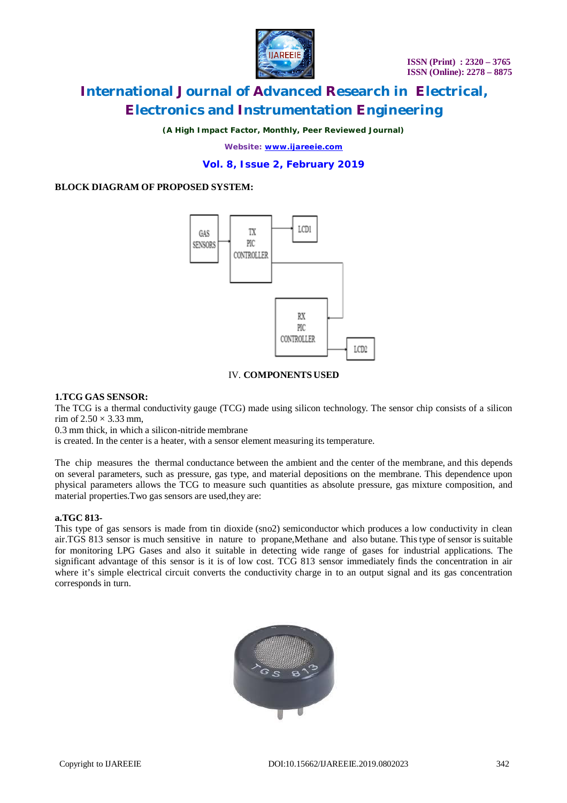

*(A High Impact Factor, Monthly, Peer Reviewed Journal)*

*Website: [www.ijareeie.com](http://www.ijareeie.com)*

### **Vol. 8, Issue 2, February 2019**

# **BLOCK DIAGRAM OF PROPOSED SYSTEM:**



# IV. **COMPONENTS USED**

### **1.TCG GAS SENSOR:**

The TCG is a thermal conductivity gauge (TCG) made using silicon technology. The sensor chip consists of a silicon rim of  $2.50 \times 3.33$  mm.

0.3 mm thick, in which a silicon-nitride membrane

is created. In the center is a heater, with a sensor element measuring its temperature.

The chip measures the thermal conductance between the ambient and the center of the membrane, and this depends on several parameters, such as pressure, gas type, and material depositions on the membrane. This dependence upon physical parameters allows the TCG to measure such quantities as absolute pressure, gas mixture composition, and material properties.Two gas sensors are used,they are:

### **a.TGC 813-**

This type of gas sensors is made from tin dioxide (sno2) semiconductor which produces a low conductivity in clean air.TGS 813 sensor is much sensitive in nature to propane,Methane and also butane. This type of sensor is suitable for monitoring LPG Gases and also it suitable in detecting wide range of gases for industrial applications. The significant advantage of this sensor is it is of low cost. TCG 813 sensor immediately finds the concentration in air where it's simple electrical circuit converts the conductivity charge in to an output signal and its gas concentration corresponds in turn.

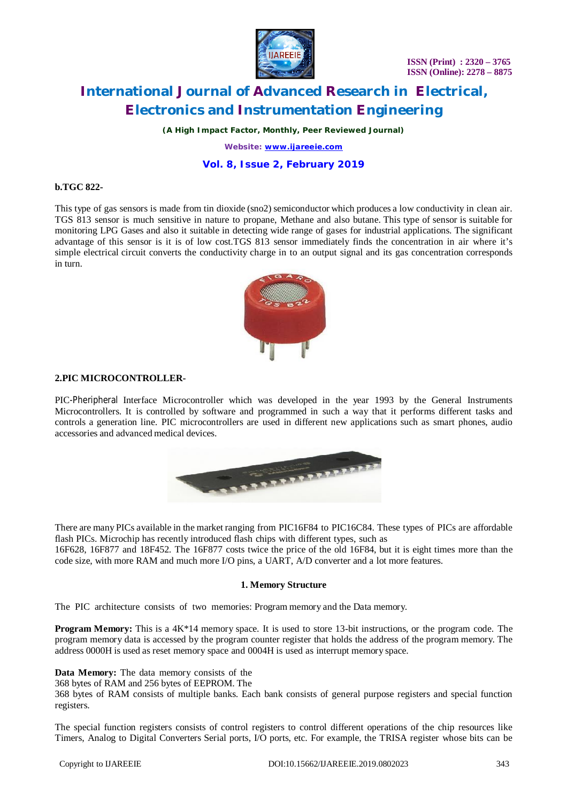

*(A High Impact Factor, Monthly, Peer Reviewed Journal)*

*Website: [www.ijareeie.com](http://www.ijareeie.com)*

# **Vol. 8, Issue 2, February 2019**

### **b.TGC 822-**

This type of gas sensors is made from tin dioxide (sno2) semiconductor which produces a low conductivity in clean air. TGS 813 sensor is much sensitive in nature to propane, Methane and also butane. This type of sensor is suitable for monitoring LPG Gases and also it suitable in detecting wide range of gases for industrial applications. The significant advantage of this sensor is it is of low cost.TGS 813 sensor immediately finds the concentration in air where it's simple electrical circuit converts the conductivity charge in to an output signal and its gas concentration corresponds in turn.



### **2.PIC MICROCONTROLLER-**

PIC-Pheripheral Interface Microcontroller which was developed in the year 1993 by the General Instruments Microcontrollers. It is controlled by software and programmed in such a way that it performs different tasks and controls a generation line. PIC microcontrollers are used in different new applications such as smart phones, audio accessories and advanced medical devices.



There are many PICs available in the market ranging from PIC16F84 to PIC16C84. These types of PICs are affordable flash PICs. Microchip has recently introduced flash chips with different types, such as

16F628, 16F877 and 18F452. The 16F877 costs twice the price of the old 16F84, but it is eight times more than the code size, with more RAM and much more I/O pins, a UART, A/D converter and a lot more features.

### **1. Memory Structure**

The PIC architecture consists of two memories: Program memory and the Data memory.

**Program Memory:** This is a 4K\*14 memory space. It is used to store 13-bit instructions, or the program code. The program memory data is accessed by the program counter register that holds the address of the program memory. The address 0000H is used as reset memory space and 0004H is used as interrupt memory space.

# **Data Memory:** The data memory consists of the

### 368 bytes of RAM and 256 bytes of EEPROM. The

368 bytes of RAM consists of multiple banks. Each bank consists of general purpose registers and special function registers.

The special function registers consists of control registers to control different operations of the chip resources like Timers, Analog to Digital Converters Serial ports, I/O ports, etc. For example, the TRISA register whose bits can be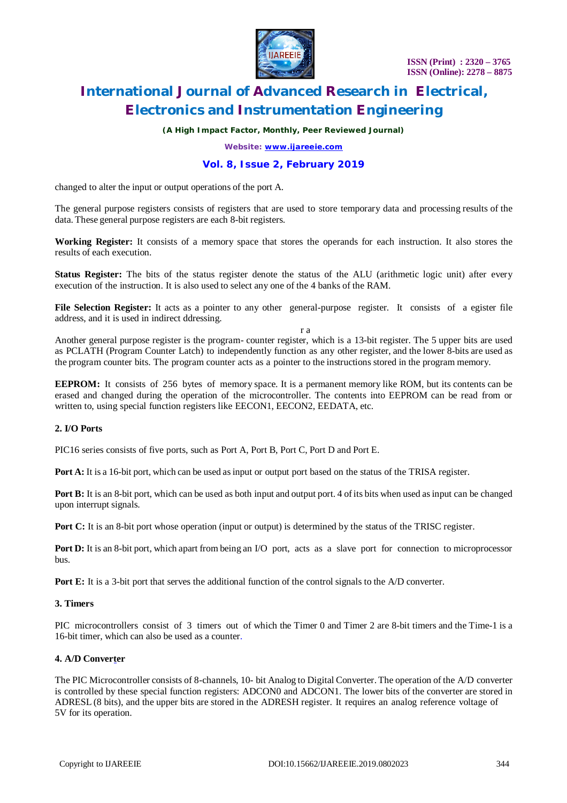

*(A High Impact Factor, Monthly, Peer Reviewed Journal)*

*Website: [www.ijareeie.com](http://www.ijareeie.com)*

# **Vol. 8, Issue 2, February 2019**

changed to alter the input or output operations of the port A.

The general purpose registers consists of registers that are used to store temporary data and processing results of the data. These general purpose registers are each 8-bit registers.

**Working Register:** It consists of a memory space that stores the operands for each instruction. It also stores the results of each execution.

**Status Register:** The bits of the status register denote the status of the ALU (arithmetic logic unit) after every execution of the instruction. It is also used to select any one of the 4 banks of the RAM.

**File Selection Register:** It acts as a pointer to any other general-purpose register. It consists of a egister file address, and it is used in indirect ddressing.

r a

Another general purpose register is the program- counter register, which is a 13-bit register. The 5 upper bits are used as PCLATH (Program Counter Latch) to independently function as any other register, and the lower 8-bits are used as the program counter bits. The program counter acts as a pointer to the instructions stored in the program memory.

**EEPROM:** It consists of 256 bytes of memory space. It is a permanent memory like ROM, but its contents can be erased and changed during the operation of the microcontroller. The contents into EEPROM can be read from or written to, using special function registers like EECON1, EECON2, EEDATA, etc.

### **2. I/O Ports**

PIC16 series consists of five ports, such as Port A, Port B, Port C, Port D and Port E.

**Port A:** It is a 16-bit port, which can be used asinput or output port based on the status of the TRISA register.

**Port B:** It is an 8-bit port, which can be used as both input and output port. 4 of its bits when used asinput can be changed upon interrupt signals.

**Port C:** It is an 8-bit port whose operation (input or output) is determined by the status of the TRISC register.

**Port D:** It is an 8-bit port, which apart from being an I/O port, acts as a slave port for connection to microprocessor bus.

**Port E:** It is a 3-bit port that serves the additional function of the control signals to the A/D converter.

### **3. Timers**

PIC microcontrollers consist of 3 timers out of which the Timer 0 and Timer 2 are 8-bit timers and the Time-1 is a 16-bit timer, which can also be used as a counter.

#### **4. A/D Converter**

The PIC Microcontroller consists of 8-channels, 10- bit Analog to Digital Converter. The operation of the A/D converter is controlled by these special function registers: ADCON0 and ADCON1. The lower bits of the converter are stored in ADRESL (8 bits), and the upper bits are stored in the ADRESH register. It requires an analog reference voltage of 5V for its operation.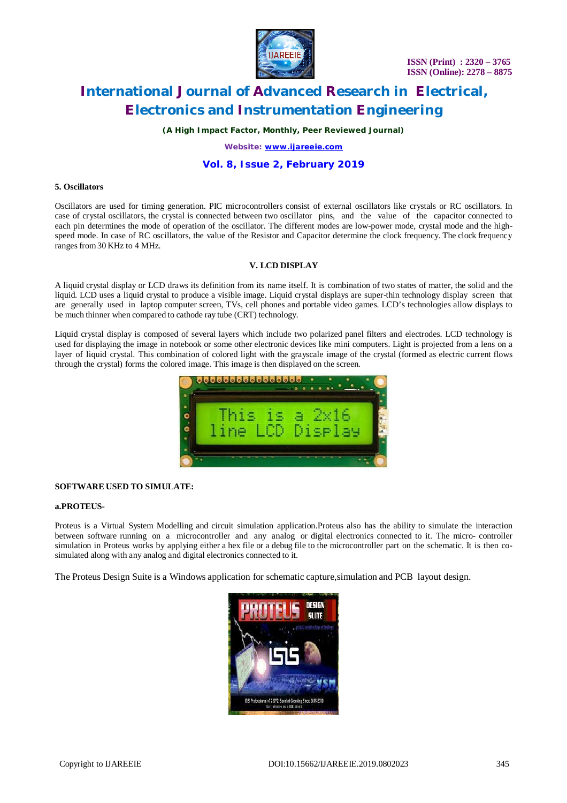

*(A High Impact Factor, Monthly, Peer Reviewed Journal)*

*Website: [www.ijareeie.com](http://www.ijareeie.com)*

# **Vol. 8, Issue 2, February 2019**

#### **5. Oscillators**

Oscillators are used for timing generation. PIC microcontrollers consist of external oscillators like crystals or RC oscillators. In case of crystal oscillators, the crystal is connected between two oscillator pins, and the value of the capacitor connected to each pin determines the mode of operation of the oscillator. The different modes are low-power mode, crystal mode and the highspeed mode. In case of RC oscillators, the value of the Resistor and Capacitor determine the clock frequency. The clock frequency ranges from 30 KHz to 4 MHz.

### **V. LCD DISPLAY**

A liquid crystal display or LCD draws its definition from its name itself. It is combination of two states of matter, the solid and the liquid. LCD uses a liquid crystal to produce a visible image. Liquid crystal displays are super-thin technology display screen that are generally used in laptop computer screen, TVs, cell phones and portable video games. LCD's technologies allow displays to be much thinner when compared to cathode ray tube (CRT) technology.

Liquid crystal display is composed of several layers which include two polarized panel filters and electrodes. LCD technology is used for displaying the image in notebook or some other electronic devices like mini computers. Light is projected from a lens on a layer of liquid crystal. This combination of colored light with the grayscale image of the crystal (formed as electric current flows through the crystal) forms the colored image. This image is then displayed on the screen.



### **SOFTWARE USED TO SIMULATE:**

#### **a.PROTEUS-**

Proteus is a Virtual System Modelling and circuit simulation application.Proteus also has the ability to simulate the interaction between software running on a microcontroller and any analog or digital electronics connected to it. The micro- controller simulation in Proteus works by applying either a hex file or a debug file to the microcontroller part on the schematic. It is then cosimulated along with any analog and digital electronics connected to it.

The Proteus Design Suite is a Windows application for schematic capture,simulation and PCB layout design.